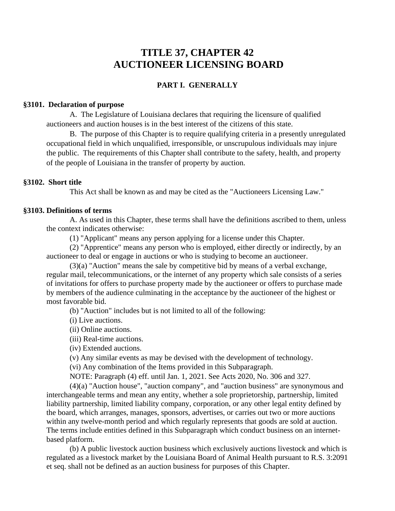# **TITLE 37, CHAPTER 42 AUCTIONEER LICENSING BOARD**

# **PART I. GENERALLY**

# **§3101. Declaration of purpose**

A. The Legislature of Louisiana declares that requiring the licensure of qualified auctioneers and auction houses is in the best interest of the citizens of this state.

B. The purpose of this Chapter is to require qualifying criteria in a presently unregulated occupational field in which unqualified, irresponsible, or unscrupulous individuals may injure the public. The requirements of this Chapter shall contribute to the safety, health, and property of the people of Louisiana in the transfer of property by auction.

# **§3102. Short title**

This Act shall be known as and may be cited as the "Auctioneers Licensing Law."

# **§3103. Definitions of terms**

 A. As used in this Chapter, these terms shall have the definitions ascribed to them, unless the context indicates otherwise:

(1) "Applicant" means any person applying for a license under this Chapter.

 (2) "Apprentice" means any person who is employed, either directly or indirectly, by an auctioneer to deal or engage in auctions or who is studying to become an auctioneer.

 (3)(a) "Auction" means the sale by competitive bid by means of a verbal exchange, regular mail, telecommunications, or the internet of any property which sale consists of a series of invitations for offers to purchase property made by the auctioneer or offers to purchase made by members of the audience culminating in the acceptance by the auctioneer of the highest or most favorable bid.

(b) "Auction" includes but is not limited to all of the following:

(i) Live auctions.

(ii) Online auctions.

(iii) Real-time auctions.

(iv) Extended auctions.

(v) Any similar events as may be devised with the development of technology.

(vi) Any combination of the Items provided in this Subparagraph.

NOTE: Paragraph (4) eff. until Jan. 1, 2021. See Acts 2020, No. 306 and 327.

 (4)(a) "Auction house", "auction company", and "auction business" are synonymous and interchangeable terms and mean any entity, whether a sole proprietorship, partnership, limited liability partnership, limited liability company, corporation, or any other legal entity defined by the board, which arranges, manages, sponsors, advertises, or carries out two or more auctions within any twelve-month period and which regularly represents that goods are sold at auction. The terms include entities defined in this Subparagraph which conduct business on an internetbased platform.

 (b) A public livestock auction business which exclusively auctions livestock and which is regulated as a livestock market by the Louisiana Board of Animal Health pursuant to R.S. 3:2091 et seq. shall not be defined as an auction business for purposes of this Chapter.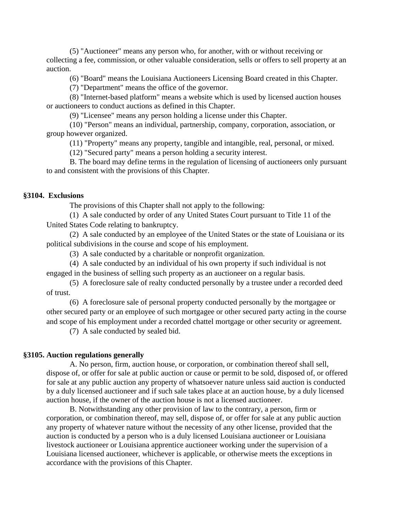(5) "Auctioneer" means any person who, for another, with or without receiving or collecting a fee, commission, or other valuable consideration, sells or offers to sell property at an auction.

(6) "Board" means the Louisiana Auctioneers Licensing Board created in this Chapter.

(7) "Department" means the office of the governor.

 (8) "Internet-based platform" means a website which is used by licensed auction houses or auctioneers to conduct auctions as defined in this Chapter.

(9) "Licensee" means any person holding a license under this Chapter.

 (10) "Person" means an individual, partnership, company, corporation, association, or group however organized.

(11) "Property" means any property, tangible and intangible, real, personal, or mixed.

(12) "Secured party" means a person holding a security interest.

 B. The board may define terms in the regulation of licensing of auctioneers only pursuant to and consistent with the provisions of this Chapter.

## **§3104. Exclusions**

The provisions of this Chapter shall not apply to the following:

(1) A sale conducted by order of any United States Court pursuant to Title 11 of the United States Code relating to bankruptcy.

(2) A sale conducted by an employee of the United States or the state of Louisiana or its political subdivisions in the course and scope of his employment.

(3) A sale conducted by a charitable or nonprofit organization.

(4) A sale conducted by an individual of his own property if such individual is not engaged in the business of selling such property as an auctioneer on a regular basis.

(5) A foreclosure sale of realty conducted personally by a trustee under a recorded deed of trust.

(6) A foreclosure sale of personal property conducted personally by the mortgagee or other secured party or an employee of such mortgagee or other secured party acting in the course and scope of his employment under a recorded chattel mortgage or other security or agreement.

(7) A sale conducted by sealed bid.

#### **§3105. Auction regulations generally**

 A. No person, firm, auction house, or corporation, or combination thereof shall sell, dispose of, or offer for sale at public auction or cause or permit to be sold, disposed of, or offered for sale at any public auction any property of whatsoever nature unless said auction is conducted by a duly licensed auctioneer and if such sale takes place at an auction house, by a duly licensed auction house, if the owner of the auction house is not a licensed auctioneer.

 B. Notwithstanding any other provision of law to the contrary, a person, firm or corporation, or combination thereof, may sell, dispose of, or offer for sale at any public auction any property of whatever nature without the necessity of any other license, provided that the auction is conducted by a person who is a duly licensed Louisiana auctioneer or Louisiana livestock auctioneer or Louisiana apprentice auctioneer working under the supervision of a Louisiana licensed auctioneer, whichever is applicable, or otherwise meets the exceptions in accordance with the provisions of this Chapter.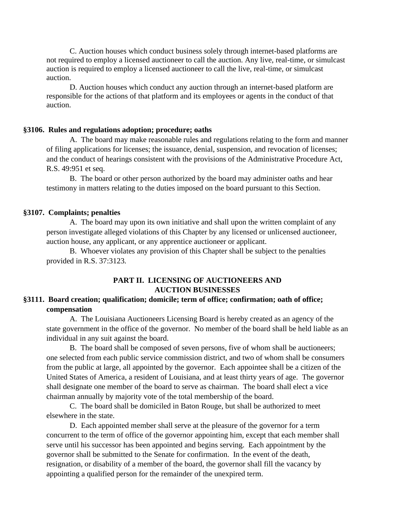C. Auction houses which conduct business solely through internet-based platforms are not required to employ a licensed auctioneer to call the auction. Any live, real-time, or simulcast auction is required to employ a licensed auctioneer to call the live, real-time, or simulcast auction.

 D. Auction houses which conduct any auction through an internet-based platform are responsible for the actions of that platform and its employees or agents in the conduct of that auction.

#### **§3106. Rules and regulations adoption; procedure; oaths**

A. The board may make reasonable rules and regulations relating to the form and manner of filing applications for licenses; the issuance, denial, suspension, and revocation of licenses; and the conduct of hearings consistent with the provisions of the Administrative Procedure Act, R.S. 49:951 et seq.

B. The board or other person authorized by the board may administer oaths and hear testimony in matters relating to the duties imposed on the board pursuant to this Section.

## **§3107. Complaints; penalties**

A. The board may upon its own initiative and shall upon the written complaint of any person investigate alleged violations of this Chapter by any licensed or unlicensed auctioneer, auction house, any applicant, or any apprentice auctioneer or applicant.

B. Whoever violates any provision of this Chapter shall be subject to the penalties provided in R.S. 37:3123.

# **PART II. LICENSING OF AUCTIONEERS AND AUCTION BUSINESSES**

# **§3111. Board creation; qualification; domicile; term of office; confirmation; oath of office; compensation**

A. The Louisiana Auctioneers Licensing Board is hereby created as an agency of the state government in the office of the governor. No member of the board shall be held liable as an individual in any suit against the board.

B. The board shall be composed of seven persons, five of whom shall be auctioneers; one selected from each public service commission district, and two of whom shall be consumers from the public at large, all appointed by the governor. Each appointee shall be a citizen of the United States of America, a resident of Louisiana, and at least thirty years of age. The governor shall designate one member of the board to serve as chairman. The board shall elect a vice chairman annually by majority vote of the total membership of the board.

C. The board shall be domiciled in Baton Rouge, but shall be authorized to meet elsewhere in the state.

D. Each appointed member shall serve at the pleasure of the governor for a term concurrent to the term of office of the governor appointing him, except that each member shall serve until his successor has been appointed and begins serving. Each appointment by the governor shall be submitted to the Senate for confirmation. In the event of the death, resignation, or disability of a member of the board, the governor shall fill the vacancy by appointing a qualified person for the remainder of the unexpired term.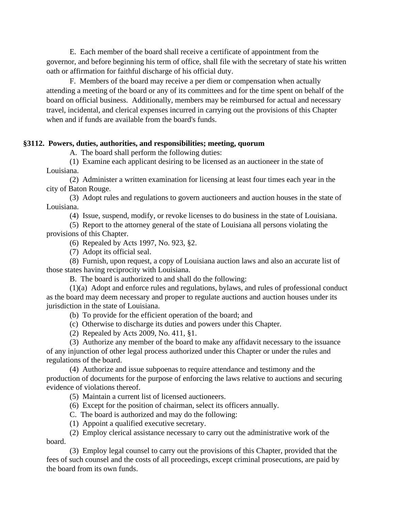E. Each member of the board shall receive a certificate of appointment from the governor, and before beginning his term of office, shall file with the secretary of state his written oath or affirmation for faithful discharge of his official duty.

F. Members of the board may receive a per diem or compensation when actually attending a meeting of the board or any of its committees and for the time spent on behalf of the board on official business. Additionally, members may be reimbursed for actual and necessary travel, incidental, and clerical expenses incurred in carrying out the provisions of this Chapter when and if funds are available from the board's funds.

### **§3112. Powers, duties, authorities, and responsibilities; meeting, quorum**

A. The board shall perform the following duties:

(1) Examine each applicant desiring to be licensed as an auctioneer in the state of Louisiana.

(2) Administer a written examination for licensing at least four times each year in the city of Baton Rouge.

(3) Adopt rules and regulations to govern auctioneers and auction houses in the state of Louisiana.

(4) Issue, suspend, modify, or revoke licenses to do business in the state of Louisiana.

(5) Report to the attorney general of the state of Louisiana all persons violating the provisions of this Chapter.

(6) Repealed by Acts 1997, No. 923, §2.

(7) Adopt its official seal.

(8) Furnish, upon request, a copy of Louisiana auction laws and also an accurate list of those states having reciprocity with Louisiana.

B. The board is authorized to and shall do the following:

(1)(a) Adopt and enforce rules and regulations, bylaws, and rules of professional conduct as the board may deem necessary and proper to regulate auctions and auction houses under its jurisdiction in the state of Louisiana.

- (b) To provide for the efficient operation of the board; and
- (c) Otherwise to discharge its duties and powers under this Chapter.
- (2) Repealed by Acts 2009, No. 411, §1.

(3) Authorize any member of the board to make any affidavit necessary to the issuance of any injunction of other legal process authorized under this Chapter or under the rules and regulations of the board.

(4) Authorize and issue subpoenas to require attendance and testimony and the production of documents for the purpose of enforcing the laws relative to auctions and securing evidence of violations thereof.

(5) Maintain a current list of licensed auctioneers.

(6) Except for the position of chairman, select its officers annually.

- C. The board is authorized and may do the following:
- (1) Appoint a qualified executive secretary.

(2) Employ clerical assistance necessary to carry out the administrative work of the board.

(3) Employ legal counsel to carry out the provisions of this Chapter, provided that the fees of such counsel and the costs of all proceedings, except criminal prosecutions, are paid by the board from its own funds.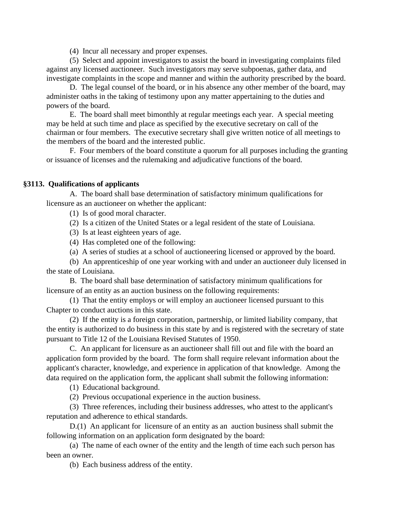(4) Incur all necessary and proper expenses.

(5) Select and appoint investigators to assist the board in investigating complaints filed against any licensed auctioneer. Such investigators may serve subpoenas, gather data, and investigate complaints in the scope and manner and within the authority prescribed by the board.

D. The legal counsel of the board, or in his absence any other member of the board, may administer oaths in the taking of testimony upon any matter appertaining to the duties and powers of the board.

E. The board shall meet bimonthly at regular meetings each year. A special meeting may be held at such time and place as specified by the executive secretary on call of the chairman or four members. The executive secretary shall give written notice of all meetings to the members of the board and the interested public.

F. Four members of the board constitute a quorum for all purposes including the granting or issuance of licenses and the rulemaking and adjudicative functions of the board.

# **§3113. Qualifications of applicants**

A. The board shall base determination of satisfactory minimum qualifications for licensure as an auctioneer on whether the applicant:

(1) Is of good moral character.

(2) Is a citizen of the United States or a legal resident of the state of Louisiana.

- (3) Is at least eighteen years of age.
- (4) Has completed one of the following:
- (a) A series of studies at a school of auctioneering licensed or approved by the board.

(b) An apprenticeship of one year working with and under an auctioneer duly licensed in the state of Louisiana.

B. The board shall base determination of satisfactory minimum qualifications for licensure of an entity as an auction business on the following requirements:

(1) That the entity employs or will employ an auctioneer licensed pursuant to this Chapter to conduct auctions in this state.

(2) If the entity is a foreign corporation, partnership, or limited liability company, that the entity is authorized to do business in this state by and is registered with the secretary of state pursuant to Title 12 of the Louisiana Revised Statutes of 1950.

C. An applicant for licensure as an auctioneer shall fill out and file with the board an application form provided by the board. The form shall require relevant information about the applicant's character, knowledge, and experience in application of that knowledge. Among the data required on the application form, the applicant shall submit the following information:

(1) Educational background.

(2) Previous occupational experience in the auction business.

(3) Three references, including their business addresses, who attest to the applicant's reputation and adherence to ethical standards.

D.(1) An applicant for licensure of an entity as an auction business shall submit the following information on an application form designated by the board:

(a) The name of each owner of the entity and the length of time each such person has been an owner.

(b) Each business address of the entity.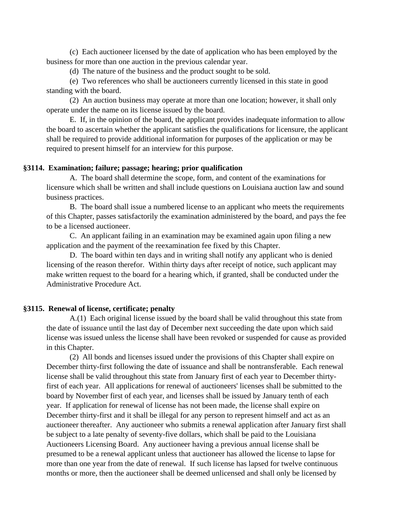(c) Each auctioneer licensed by the date of application who has been employed by the business for more than one auction in the previous calendar year.

(d) The nature of the business and the product sought to be sold.

(e) Two references who shall be auctioneers currently licensed in this state in good standing with the board.

(2) An auction business may operate at more than one location; however, it shall only operate under the name on its license issued by the board.

E. If, in the opinion of the board, the applicant provides inadequate information to allow the board to ascertain whether the applicant satisfies the qualifications for licensure, the applicant shall be required to provide additional information for purposes of the application or may be required to present himself for an interview for this purpose.

# **§3114. Examination; failure; passage; hearing; prior qualification**

A. The board shall determine the scope, form, and content of the examinations for licensure which shall be written and shall include questions on Louisiana auction law and sound business practices.

B. The board shall issue a numbered license to an applicant who meets the requirements of this Chapter, passes satisfactorily the examination administered by the board, and pays the fee to be a licensed auctioneer.

C. An applicant failing in an examination may be examined again upon filing a new application and the payment of the reexamination fee fixed by this Chapter.

D. The board within ten days and in writing shall notify any applicant who is denied licensing of the reason therefor. Within thirty days after receipt of notice, such applicant may make written request to the board for a hearing which, if granted, shall be conducted under the Administrative Procedure Act.

# **§3115. Renewal of license, certificate; penalty**

A.(1) Each original license issued by the board shall be valid throughout this state from the date of issuance until the last day of December next succeeding the date upon which said license was issued unless the license shall have been revoked or suspended for cause as provided in this Chapter.

(2) All bonds and licenses issued under the provisions of this Chapter shall expire on December thirty-first following the date of issuance and shall be nontransferable. Each renewal license shall be valid throughout this state from January first of each year to December thirtyfirst of each year. All applications for renewal of auctioneers' licenses shall be submitted to the board by November first of each year, and licenses shall be issued by January tenth of each year. If application for renewal of license has not been made, the license shall expire on December thirty-first and it shall be illegal for any person to represent himself and act as an auctioneer thereafter. Any auctioneer who submits a renewal application after January first shall be subject to a late penalty of seventy-five dollars, which shall be paid to the Louisiana Auctioneers Licensing Board. Any auctioneer having a previous annual license shall be presumed to be a renewal applicant unless that auctioneer has allowed the license to lapse for more than one year from the date of renewal. If such license has lapsed for twelve continuous months or more, then the auctioneer shall be deemed unlicensed and shall only be licensed by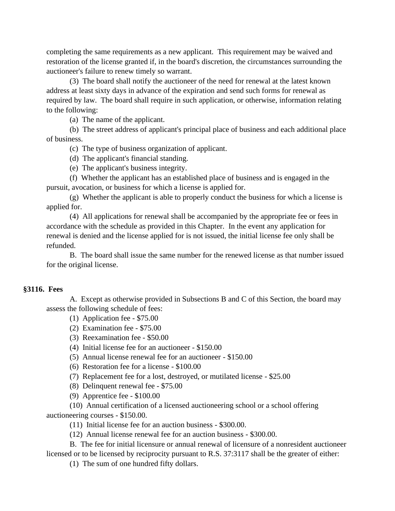completing the same requirements as a new applicant. This requirement may be waived and restoration of the license granted if, in the board's discretion, the circumstances surrounding the auctioneer's failure to renew timely so warrant.

(3) The board shall notify the auctioneer of the need for renewal at the latest known address at least sixty days in advance of the expiration and send such forms for renewal as required by law. The board shall require in such application, or otherwise, information relating to the following:

(a) The name of the applicant.

(b) The street address of applicant's principal place of business and each additional place of business.

(c) The type of business organization of applicant.

(d) The applicant's financial standing.

(e) The applicant's business integrity.

(f) Whether the applicant has an established place of business and is engaged in the pursuit, avocation, or business for which a license is applied for.

(g) Whether the applicant is able to properly conduct the business for which a license is applied for.

(4) All applications for renewal shall be accompanied by the appropriate fee or fees in accordance with the schedule as provided in this Chapter. In the event any application for renewal is denied and the license applied for is not issued, the initial license fee only shall be refunded.

B. The board shall issue the same number for the renewed license as that number issued for the original license.

# **§3116. Fees**

A. Except as otherwise provided in Subsections B and C of this Section, the board may assess the following schedule of fees:

- (1) Application fee \$75.00
- (2) Examination fee \$75.00
- (3) Reexamination fee \$50.00
- (4) Initial license fee for an auctioneer \$150.00
- (5) Annual license renewal fee for an auctioneer \$150.00
- (6) Restoration fee for a license \$100.00
- (7) Replacement fee for a lost, destroyed, or mutilated license \$25.00
- (8) Delinquent renewal fee \$75.00
- (9) Apprentice fee \$100.00
- (10) Annual certification of a licensed auctioneering school or a school offering auctioneering courses - \$150.00.
	- (11) Initial license fee for an auction business \$300.00.
	- (12) Annual license renewal fee for an auction business \$300.00.

B. The fee for initial licensure or annual renewal of licensure of a nonresident auctioneer

licensed or to be licensed by reciprocity pursuant to R.S. 37:3117 shall be the greater of either:

(1) The sum of one hundred fifty dollars.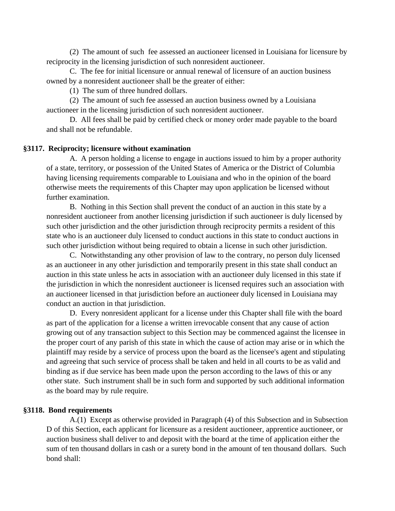(2) The amount of such fee assessed an auctioneer licensed in Louisiana for licensure by reciprocity in the licensing jurisdiction of such nonresident auctioneer.

C. The fee for initial licensure or annual renewal of licensure of an auction business owned by a nonresident auctioneer shall be the greater of either:

(1) The sum of three hundred dollars.

(2) The amount of such fee assessed an auction business owned by a Louisiana auctioneer in the licensing jurisdiction of such nonresident auctioneer.

D. All fees shall be paid by certified check or money order made payable to the board and shall not be refundable.

# **§3117. Reciprocity; licensure without examination**

A. A person holding a license to engage in auctions issued to him by a proper authority of a state, territory, or possession of the United States of America or the District of Columbia having licensing requirements comparable to Louisiana and who in the opinion of the board otherwise meets the requirements of this Chapter may upon application be licensed without further examination.

B. Nothing in this Section shall prevent the conduct of an auction in this state by a nonresident auctioneer from another licensing jurisdiction if such auctioneer is duly licensed by such other jurisdiction and the other jurisdiction through reciprocity permits a resident of this state who is an auctioneer duly licensed to conduct auctions in this state to conduct auctions in such other jurisdiction without being required to obtain a license in such other jurisdiction.

C. Notwithstanding any other provision of law to the contrary, no person duly licensed as an auctioneer in any other jurisdiction and temporarily present in this state shall conduct an auction in this state unless he acts in association with an auctioneer duly licensed in this state if the jurisdiction in which the nonresident auctioneer is licensed requires such an association with an auctioneer licensed in that jurisdiction before an auctioneer duly licensed in Louisiana may conduct an auction in that jurisdiction.

D. Every nonresident applicant for a license under this Chapter shall file with the board as part of the application for a license a written irrevocable consent that any cause of action growing out of any transaction subject to this Section may be commenced against the licensee in the proper court of any parish of this state in which the cause of action may arise or in which the plaintiff may reside by a service of process upon the board as the licensee's agent and stipulating and agreeing that such service of process shall be taken and held in all courts to be as valid and binding as if due service has been made upon the person according to the laws of this or any other state. Such instrument shall be in such form and supported by such additional information as the board may by rule require.

#### **§3118. Bond requirements**

A.(1) Except as otherwise provided in Paragraph (4) of this Subsection and in Subsection D of this Section, each applicant for licensure as a resident auctioneer, apprentice auctioneer, or auction business shall deliver to and deposit with the board at the time of application either the sum of ten thousand dollars in cash or a surety bond in the amount of ten thousand dollars. Such bond shall: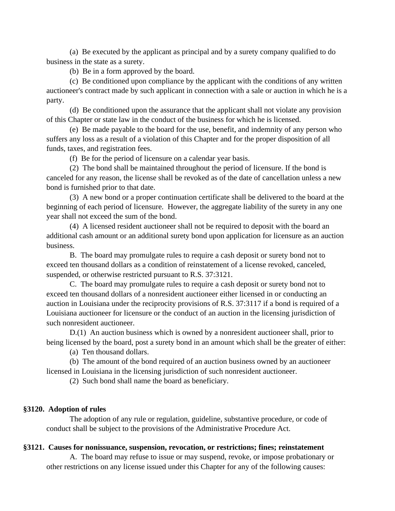(a) Be executed by the applicant as principal and by a surety company qualified to do business in the state as a surety.

(b) Be in a form approved by the board.

(c) Be conditioned upon compliance by the applicant with the conditions of any written auctioneer's contract made by such applicant in connection with a sale or auction in which he is a party.

(d) Be conditioned upon the assurance that the applicant shall not violate any provision of this Chapter or state law in the conduct of the business for which he is licensed.

(e) Be made payable to the board for the use, benefit, and indemnity of any person who suffers any loss as a result of a violation of this Chapter and for the proper disposition of all funds, taxes, and registration fees.

(f) Be for the period of licensure on a calendar year basis.

(2) The bond shall be maintained throughout the period of licensure. If the bond is canceled for any reason, the license shall be revoked as of the date of cancellation unless a new bond is furnished prior to that date.

(3) A new bond or a proper continuation certificate shall be delivered to the board at the beginning of each period of licensure. However, the aggregate liability of the surety in any one year shall not exceed the sum of the bond.

(4) A licensed resident auctioneer shall not be required to deposit with the board an additional cash amount or an additional surety bond upon application for licensure as an auction business.

B. The board may promulgate rules to require a cash deposit or surety bond not to exceed ten thousand dollars as a condition of reinstatement of a license revoked, canceled, suspended, or otherwise restricted pursuant to R.S. 37:3121.

C. The board may promulgate rules to require a cash deposit or surety bond not to exceed ten thousand dollars of a nonresident auctioneer either licensed in or conducting an auction in Louisiana under the reciprocity provisions of R.S. 37:3117 if a bond is required of a Louisiana auctioneer for licensure or the conduct of an auction in the licensing jurisdiction of such nonresident auctioneer.

D.(1) An auction business which is owned by a nonresident auctioneer shall, prior to being licensed by the board, post a surety bond in an amount which shall be the greater of either:

(a) Ten thousand dollars.

(b) The amount of the bond required of an auction business owned by an auctioneer

licensed in Louisiana in the licensing jurisdiction of such nonresident auctioneer.

(2) Such bond shall name the board as beneficiary.

### **§3120. Adoption of rules**

The adoption of any rule or regulation, guideline, substantive procedure, or code of conduct shall be subject to the provisions of the Administrative Procedure Act.

#### **§3121. Causes for nonissuance, suspension, revocation, or restrictions; fines; reinstatement**

A. The board may refuse to issue or may suspend, revoke, or impose probationary or other restrictions on any license issued under this Chapter for any of the following causes: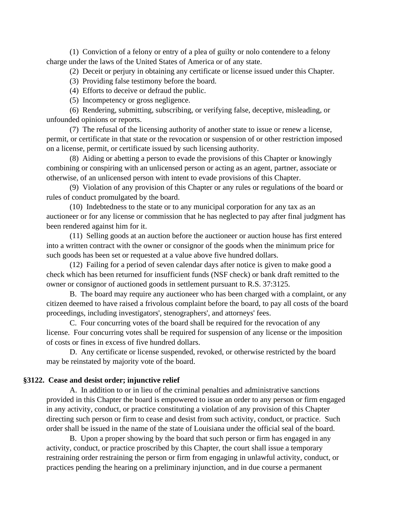(1) Conviction of a felony or entry of a plea of guilty or nolo contendere to a felony charge under the laws of the United States of America or of any state.

(2) Deceit or perjury in obtaining any certificate or license issued under this Chapter.

(3) Providing false testimony before the board.

(4) Efforts to deceive or defraud the public.

(5) Incompetency or gross negligence.

(6) Rendering, submitting, subscribing, or verifying false, deceptive, misleading, or unfounded opinions or reports.

(7) The refusal of the licensing authority of another state to issue or renew a license, permit, or certificate in that state or the revocation or suspension of or other restriction imposed on a license, permit, or certificate issued by such licensing authority.

(8) Aiding or abetting a person to evade the provisions of this Chapter or knowingly combining or conspiring with an unlicensed person or acting as an agent, partner, associate or otherwise, of an unlicensed person with intent to evade provisions of this Chapter.

(9) Violation of any provision of this Chapter or any rules or regulations of the board or rules of conduct promulgated by the board.

(10) Indebtedness to the state or to any municipal corporation for any tax as an auctioneer or for any license or commission that he has neglected to pay after final judgment has been rendered against him for it.

(11) Selling goods at an auction before the auctioneer or auction house has first entered into a written contract with the owner or consignor of the goods when the minimum price for such goods has been set or requested at a value above five hundred dollars.

(12) Failing for a period of seven calendar days after notice is given to make good a check which has been returned for insufficient funds (NSF check) or bank draft remitted to the owner or consignor of auctioned goods in settlement pursuant to R.S. 37:3125.

B. The board may require any auctioneer who has been charged with a complaint, or any citizen deemed to have raised a frivolous complaint before the board, to pay all costs of the board proceedings, including investigators', stenographers', and attorneys' fees.

C. Four concurring votes of the board shall be required for the revocation of any license. Four concurring votes shall be required for suspension of any license or the imposition of costs or fines in excess of five hundred dollars.

D. Any certificate or license suspended, revoked, or otherwise restricted by the board may be reinstated by majority vote of the board.

#### **§3122. Cease and desist order; injunctive relief**

A. In addition to or in lieu of the criminal penalties and administrative sanctions provided in this Chapter the board is empowered to issue an order to any person or firm engaged in any activity, conduct, or practice constituting a violation of any provision of this Chapter directing such person or firm to cease and desist from such activity, conduct, or practice. Such order shall be issued in the name of the state of Louisiana under the official seal of the board.

B. Upon a proper showing by the board that such person or firm has engaged in any activity, conduct, or practice proscribed by this Chapter, the court shall issue a temporary restraining order restraining the person or firm from engaging in unlawful activity, conduct, or practices pending the hearing on a preliminary injunction, and in due course a permanent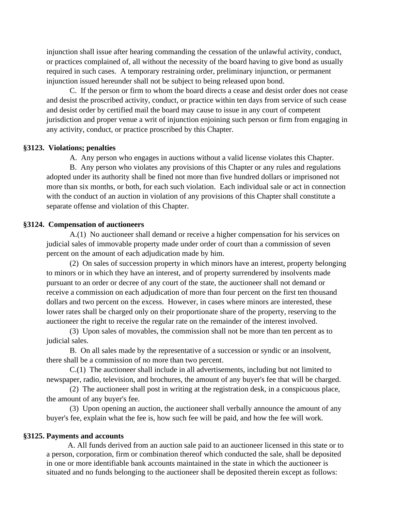injunction shall issue after hearing commanding the cessation of the unlawful activity, conduct, or practices complained of, all without the necessity of the board having to give bond as usually required in such cases. A temporary restraining order, preliminary injunction, or permanent injunction issued hereunder shall not be subject to being released upon bond.

C. If the person or firm to whom the board directs a cease and desist order does not cease and desist the proscribed activity, conduct, or practice within ten days from service of such cease and desist order by certified mail the board may cause to issue in any court of competent jurisdiction and proper venue a writ of injunction enjoining such person or firm from engaging in any activity, conduct, or practice proscribed by this Chapter.

#### **§3123. Violations; penalties**

A. Any person who engages in auctions without a valid license violates this Chapter.

B. Any person who violates any provisions of this Chapter or any rules and regulations adopted under its authority shall be fined not more than five hundred dollars or imprisoned not more than six months, or both, for each such violation. Each individual sale or act in connection with the conduct of an auction in violation of any provisions of this Chapter shall constitute a separate offense and violation of this Chapter.

## **§3124. Compensation of auctioneers**

A.(1) No auctioneer shall demand or receive a higher compensation for his services on judicial sales of immovable property made under order of court than a commission of seven percent on the amount of each adjudication made by him.

(2) On sales of succession property in which minors have an interest, property belonging to minors or in which they have an interest, and of property surrendered by insolvents made pursuant to an order or decree of any court of the state, the auctioneer shall not demand or receive a commission on each adjudication of more than four percent on the first ten thousand dollars and two percent on the excess. However, in cases where minors are interested, these lower rates shall be charged only on their proportionate share of the property, reserving to the auctioneer the right to receive the regular rate on the remainder of the interest involved.

(3) Upon sales of movables, the commission shall not be more than ten percent as to judicial sales.

B. On all sales made by the representative of a succession or syndic or an insolvent, there shall be a commission of no more than two percent.

C.(1) The auctioneer shall include in all advertisements, including but not limited to newspaper, radio, television, and brochures, the amount of any buyer's fee that will be charged.

(2) The auctioneer shall post in writing at the registration desk, in a conspicuous place, the amount of any buyer's fee.

(3) Upon opening an auction, the auctioneer shall verbally announce the amount of any buyer's fee, explain what the fee is, how such fee will be paid, and how the fee will work.

## **§3125. Payments and accounts**

 A. All funds derived from an auction sale paid to an auctioneer licensed in this state or to a person, corporation, firm or combination thereof which conducted the sale, shall be deposited in one or more identifiable bank accounts maintained in the state in which the auctioneer is situated and no funds belonging to the auctioneer shall be deposited therein except as follows: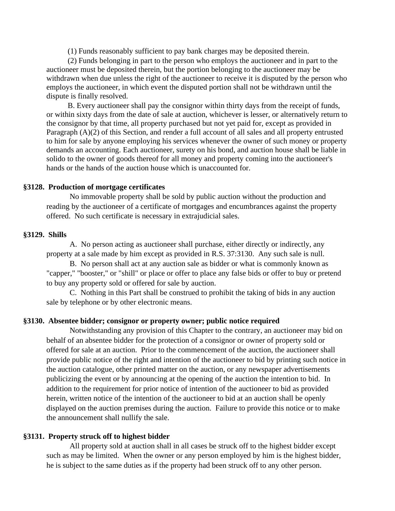(1) Funds reasonably sufficient to pay bank charges may be deposited therein.

 (2) Funds belonging in part to the person who employs the auctioneer and in part to the auctioneer must be deposited therein, but the portion belonging to the auctioneer may be withdrawn when due unless the right of the auctioneer to receive it is disputed by the person who employs the auctioneer, in which event the disputed portion shall not be withdrawn until the dispute is finally resolved.

 B. Every auctioneer shall pay the consignor within thirty days from the receipt of funds, or within sixty days from the date of sale at auction, whichever is lesser, or alternatively return to the consignor by that time, all property purchased but not yet paid for, except as provided in Paragraph (A)(2) of this Section, and render a full account of all sales and all property entrusted to him for sale by anyone employing his services whenever the owner of such money or property demands an accounting. Each auctioneer, surety on his bond, and auction house shall be liable in solido to the owner of goods thereof for all money and property coming into the auctioneer's hands or the hands of the auction house which is unaccounted for.

#### **§3128. Production of mortgage certificates**

No immovable property shall be sold by public auction without the production and reading by the auctioneer of a certificate of mortgages and encumbrances against the property offered. No such certificate is necessary in extrajudicial sales.

### **§3129. Shills**

A. No person acting as auctioneer shall purchase, either directly or indirectly, any property at a sale made by him except as provided in R.S. 37:3130. Any such sale is null.

B. No person shall act at any auction sale as bidder or what is commonly known as "capper," "booster," or "shill" or place or offer to place any false bids or offer to buy or pretend to buy any property sold or offered for sale by auction.

C. Nothing in this Part shall be construed to prohibit the taking of bids in any auction sale by telephone or by other electronic means.

#### **§3130. Absentee bidder; consignor or property owner; public notice required**

Notwithstanding any provision of this Chapter to the contrary, an auctioneer may bid on behalf of an absentee bidder for the protection of a consignor or owner of property sold or offered for sale at an auction. Prior to the commencement of the auction, the auctioneer shall provide public notice of the right and intention of the auctioneer to bid by printing such notice in the auction catalogue, other printed matter on the auction, or any newspaper advertisements publicizing the event or by announcing at the opening of the auction the intention to bid. In addition to the requirement for prior notice of intention of the auctioneer to bid as provided herein, written notice of the intention of the auctioneer to bid at an auction shall be openly displayed on the auction premises during the auction. Failure to provide this notice or to make the announcement shall nullify the sale.

#### **§3131. Property struck off to highest bidder**

All property sold at auction shall in all cases be struck off to the highest bidder except such as may be limited. When the owner or any person employed by him is the highest bidder, he is subject to the same duties as if the property had been struck off to any other person.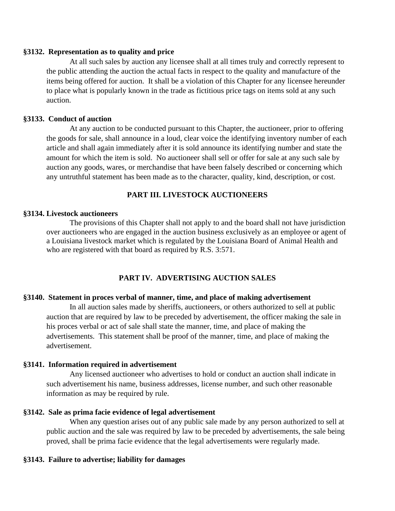# **§3132. Representation as to quality and price**

At all such sales by auction any licensee shall at all times truly and correctly represent to the public attending the auction the actual facts in respect to the quality and manufacture of the items being offered for auction. It shall be a violation of this Chapter for any licensee hereunder to place what is popularly known in the trade as fictitious price tags on items sold at any such auction.

# **§3133. Conduct of auction**

At any auction to be conducted pursuant to this Chapter, the auctioneer, prior to offering the goods for sale, shall announce in a loud, clear voice the identifying inventory number of each article and shall again immediately after it is sold announce its identifying number and state the amount for which the item is sold. No auctioneer shall sell or offer for sale at any such sale by auction any goods, wares, or merchandise that have been falsely described or concerning which any untruthful statement has been made as to the character, quality, kind, description, or cost.

# **PART III. LIVESTOCK AUCTIONEERS**

# **§3134. Livestock auctioneers**

 The provisions of this Chapter shall not apply to and the board shall not have jurisdiction over auctioneers who are engaged in the auction business exclusively as an employee or agent of a Louisiana livestock market which is regulated by the Louisiana Board of Animal Health and who are registered with that board as required by R.S. 3:571.

# **PART IV. ADVERTISING AUCTION SALES**

# **§3140. Statement in proces verbal of manner, time, and place of making advertisement**

In all auction sales made by sheriffs, auctioneers, or others authorized to sell at public auction that are required by law to be preceded by advertisement, the officer making the sale in his proces verbal or act of sale shall state the manner, time, and place of making the advertisements. This statement shall be proof of the manner, time, and place of making the advertisement.

# **§3141. Information required in advertisement**

Any licensed auctioneer who advertises to hold or conduct an auction shall indicate in such advertisement his name, business addresses, license number, and such other reasonable information as may be required by rule.

# **§3142. Sale as prima facie evidence of legal advertisement**

When any question arises out of any public sale made by any person authorized to sell at public auction and the sale was required by law to be preceded by advertisements, the sale being proved, shall be prima facie evidence that the legal advertisements were regularly made.

# **§3143. Failure to advertise; liability for damages**